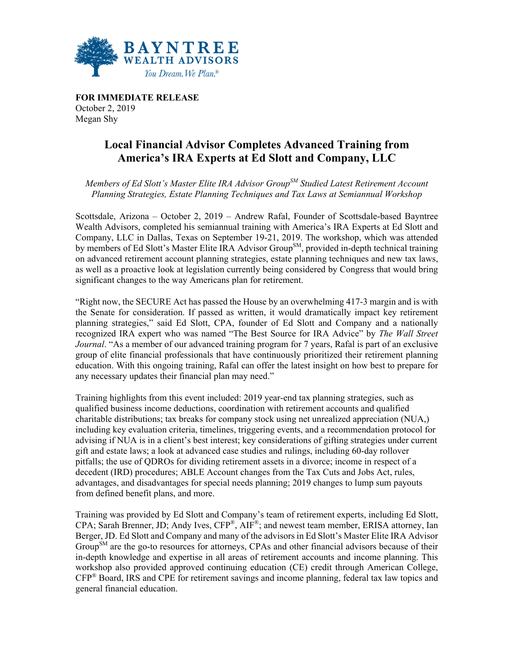

**FOR IMMEDIATE RELEASE** October 2, 2019 Megan Shy

## **Local Financial Advisor Completes Advanced Training from America's IRA Experts at Ed Slott and Company, LLC**

*Members of Ed Slott's Master Elite IRA Advisor GroupSM Studied Latest Retirement Account Planning Strategies, Estate Planning Techniques and Tax Laws at Semiannual Workshop* 

Scottsdale, Arizona – October 2, 2019 – Andrew Rafal, Founder of Scottsdale-based Bayntree Wealth Advisors, completed his semiannual training with America's IRA Experts at Ed Slott and Company, LLC in Dallas, Texas on September 19-21, 2019. The workshop, which was attended by members of Ed Slott's Master Elite IRA Advisor Group<sup>SM</sup>, provided in-depth technical training on advanced retirement account planning strategies, estate planning techniques and new tax laws, as well as a proactive look at legislation currently being considered by Congress that would bring significant changes to the way Americans plan for retirement.

"Right now, the SECURE Act has passed the House by an overwhelming 417-3 margin and is with the Senate for consideration. If passed as written, it would dramatically impact key retirement planning strategies," said Ed Slott, CPA, founder of Ed Slott and Company and a nationally recognized IRA expert who was named "The Best Source for IRA Advice" by *The Wall Street Journal*. "As a member of our advanced training program for 7 years, Rafal is part of an exclusive group of elite financial professionals that have continuously prioritized their retirement planning education. With this ongoing training, Rafal can offer the latest insight on how best to prepare for any necessary updates their financial plan may need."

Training highlights from this event included: 2019 year-end tax planning strategies, such as qualified business income deductions, coordination with retirement accounts and qualified charitable distributions; tax breaks for company stock using net unrealized appreciation (NUA,) including key evaluation criteria, timelines, triggering events, and a recommendation protocol for advising if NUA is in a client's best interest; key considerations of gifting strategies under current gift and estate laws; a look at advanced case studies and rulings, including 60-day rollover pitfalls; the use of QDROs for dividing retirement assets in a divorce; income in respect of a decedent (IRD) procedures; ABLE Account changes from the Tax Cuts and Jobs Act, rules, advantages, and disadvantages for special needs planning; 2019 changes to lump sum payouts from defined benefit plans, and more.

Training was provided by Ed Slott and Company's team of retirement experts, including Ed Slott, CPA; Sarah Brenner, JD; Andy Ives, CFP®, AIF®; and newest team member, ERISA attorney, Ian Berger, JD. Ed Slott and Company and many of the advisors in Ed Slott's Master Elite IRA Advisor Group<sup>SM</sup> are the go-to resources for attorneys, CPAs and other financial advisors because of their in-depth knowledge and expertise in all areas of retirement accounts and income planning. This workshop also provided approved continuing education (CE) credit through American College, CFP® Board, IRS and CPE for retirement savings and income planning, federal tax law topics and general financial education.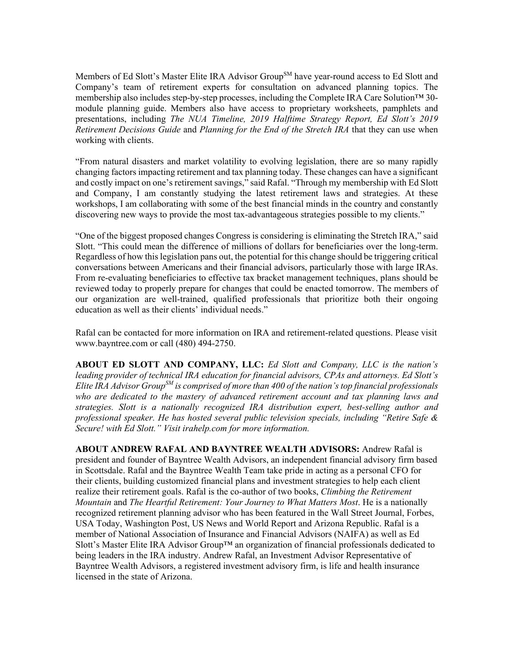Members of Ed Slott's Master Elite IRA Advisor Group<sup>SM</sup> have year-round access to Ed Slott and Company's team of retirement experts for consultation on advanced planning topics. The membership also includes step-by-step processes, including the Complete IRA Care Solution™ 30 module planning guide. Members also have access to proprietary worksheets, pamphlets and presentations, including *The NUA Timeline, 2019 Halftime Strategy Report, Ed Slott's 2019 Retirement Decisions Guide* and *Planning for the End of the Stretch IRA* that they can use when working with clients.

"From natural disasters and market volatility to evolving legislation, there are so many rapidly changing factors impacting retirement and tax planning today. These changes can have a significant and costly impact on one's retirement savings," said Rafal. "Through my membership with Ed Slott and Company, I am constantly studying the latest retirement laws and strategies. At these workshops, I am collaborating with some of the best financial minds in the country and constantly discovering new ways to provide the most tax-advantageous strategies possible to my clients."

"One of the biggest proposed changes Congress is considering is eliminating the Stretch IRA," said Slott. "This could mean the difference of millions of dollars for beneficiaries over the long-term. Regardless of how this legislation pans out, the potential for this change should be triggering critical conversations between Americans and their financial advisors, particularly those with large IRAs. From re-evaluating beneficiaries to effective tax bracket management techniques, plans should be reviewed today to properly prepare for changes that could be enacted tomorrow. The members of our organization are well-trained, qualified professionals that prioritize both their ongoing education as well as their clients' individual needs."

Rafal can be contacted for more information on IRA and retirement-related questions. Please visit www.bayntree.com or call (480) 494-2750.

**ABOUT ED SLOTT AND COMPANY, LLC:** *Ed Slott and Company, LLC is the nation's leading provider of technical IRA education for financial advisors, CPAs and attorneys. Ed Slott's Elite IRA Advisor GroupSM is comprised of more than 400 of the nation's top financial professionals who are dedicated to the mastery of advanced retirement account and tax planning laws and strategies. Slott is a nationally recognized IRA distribution expert, best-selling author and professional speaker. He has hosted several public television specials, including "Retire Safe & Secure! with Ed Slott." Visit irahelp.com for more information.*

**ABOUT ANDREW RAFAL AND BAYNTREE WEALTH ADVISORS:** Andrew Rafal is president and founder of Bayntree Wealth Advisors, an independent financial advisory firm based in Scottsdale. Rafal and the Bayntree Wealth Team take pride in acting as a personal CFO for their clients, building customized financial plans and investment strategies to help each client realize their retirement goals. Rafal is the co-author of two books, *Climbing the Retirement Mountain* and *The Heartful Retirement: Your Journey to What Matters Most*. He is a nationally recognized retirement planning advisor who has been featured in the Wall Street Journal, Forbes, USA Today, Washington Post, US News and World Report and Arizona Republic. Rafal is a member of National Association of Insurance and Financial Advisors (NAIFA) as well as Ed Slott's Master Elite IRA Advisor Group<sup>TM</sup> an organization of financial professionals dedicated to being leaders in the IRA industry. Andrew Rafal, an Investment Advisor Representative of Bayntree Wealth Advisors, a registered investment advisory firm, is life and health insurance licensed in the state of Arizona.